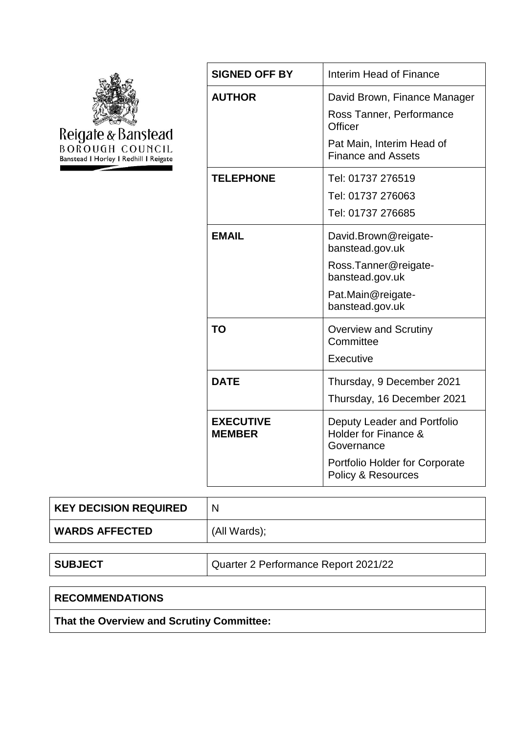

| <b>SIGNED OFF BY</b>              | Interim Head of Finance                                                |  |  |
|-----------------------------------|------------------------------------------------------------------------|--|--|
| <b>AUTHOR</b>                     | David Brown, Finance Manager                                           |  |  |
|                                   | Ross Tanner, Performance<br>Officer                                    |  |  |
|                                   | Pat Main, Interim Head of<br><b>Finance and Assets</b>                 |  |  |
| <b>TELEPHONE</b>                  | Tel: 01737 276519                                                      |  |  |
|                                   | Tel: 01737 276063                                                      |  |  |
|                                   | Tel: 01737 276685                                                      |  |  |
| <b>EMAIL</b>                      | David.Brown@reigate-<br>banstead.gov.uk                                |  |  |
|                                   | Ross.Tanner@reigate-<br>banstead.gov.uk                                |  |  |
|                                   | Pat.Main@reigate-<br>banstead.gov.uk                                   |  |  |
| TO                                | <b>Overview and Scrutiny</b><br>Committee                              |  |  |
|                                   | Executive                                                              |  |  |
| <b>DATE</b>                       | Thursday, 9 December 2021                                              |  |  |
|                                   | Thursday, 16 December 2021                                             |  |  |
| <b>EXECUTIVE</b><br><b>MEMBER</b> | Deputy Leader and Portfolio<br>Holder for Finance &<br>Governance      |  |  |
|                                   | <b>Portfolio Holder for Corporate</b><br><b>Policy &amp; Resources</b> |  |  |

| <b>KEY DECISION REQUIRED</b> | N            |
|------------------------------|--------------|
| <b>WARDS AFFECTED</b>        | (All Wards); |
|                              |              |

**SUBJECT** Quarter 2 Performance Report 2021/22

# **RECOMMENDATIONS**

**That the Overview and Scrutiny Committee:**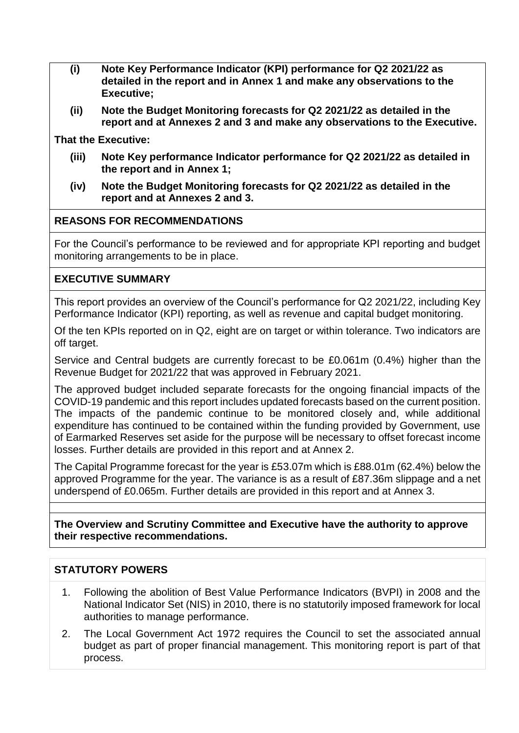- **(i) Note Key Performance Indicator (KPI) performance for Q2 2021/22 as detailed in the report and in Annex 1 and make any observations to the Executive;**
- **(ii) Note the Budget Monitoring forecasts for Q2 2021/22 as detailed in the report and at Annexes 2 and 3 and make any observations to the Executive.**

**That the Executive:**

- **(iii) Note Key performance Indicator performance for Q2 2021/22 as detailed in the report and in Annex 1;**
- **(iv) Note the Budget Monitoring forecasts for Q2 2021/22 as detailed in the report and at Annexes 2 and 3.**

#### **REASONS FOR RECOMMENDATIONS**

For the Council's performance to be reviewed and for appropriate KPI reporting and budget monitoring arrangements to be in place.

### **EXECUTIVE SUMMARY**

This report provides an overview of the Council's performance for Q2 2021/22, including Key Performance Indicator (KPI) reporting, as well as revenue and capital budget monitoring.

Of the ten KPIs reported on in Q2, eight are on target or within tolerance. Two indicators are off target.

Service and Central budgets are currently forecast to be £0.061m (0.4%) higher than the Revenue Budget for 2021/22 that was approved in February 2021.

The approved budget included separate forecasts for the ongoing financial impacts of the COVID-19 pandemic and this report includes updated forecasts based on the current position. The impacts of the pandemic continue to be monitored closely and, while additional expenditure has continued to be contained within the funding provided by Government, use of Earmarked Reserves set aside for the purpose will be necessary to offset forecast income losses. Further details are provided in this report and at Annex 2.

The Capital Programme forecast for the year is £53.07m which is £88.01m (62.4%) below the approved Programme for the year. The variance is as a result of £87.36m slippage and a net underspend of £0.065m. Further details are provided in this report and at Annex 3.

**The Overview and Scrutiny Committee and Executive have the authority to approve their respective recommendations.**

# **STATUTORY POWERS**

- 1. Following the abolition of Best Value Performance Indicators (BVPI) in 2008 and the National Indicator Set (NIS) in 2010, there is no statutorily imposed framework for local authorities to manage performance.
- 2. The Local Government Act 1972 requires the Council to set the associated annual budget as part of proper financial management. This monitoring report is part of that process.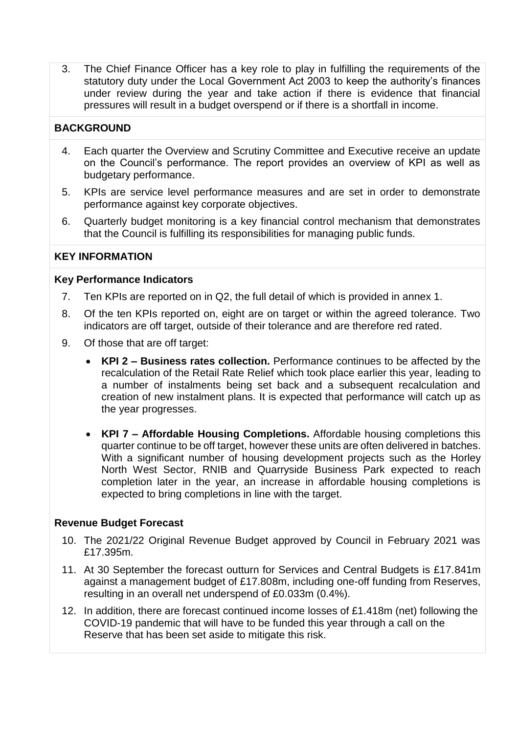3. The Chief Finance Officer has a key role to play in fulfilling the requirements of the statutory duty under the Local Government Act 2003 to keep the authority's finances under review during the year and take action if there is evidence that financial pressures will result in a budget overspend or if there is a shortfall in income.

# **BACKGROUND**

- 4. Each quarter the Overview and Scrutiny Committee and Executive receive an update on the Council's performance. The report provides an overview of KPI as well as budgetary performance.
- 5. KPIs are service level performance measures and are set in order to demonstrate performance against key corporate objectives.
- 6. Quarterly budget monitoring is a key financial control mechanism that demonstrates that the Council is fulfilling its responsibilities for managing public funds.

# **KEY INFORMATION**

#### **Key Performance Indicators**

- 7. Ten KPIs are reported on in Q2, the full detail of which is provided in annex 1.
- 8. Of the ten KPIs reported on, eight are on target or within the agreed tolerance. Two indicators are off target, outside of their tolerance and are therefore red rated.
- 9. Of those that are off target:
	- **KPI 2 – Business rates collection.** Performance continues to be affected by the recalculation of the Retail Rate Relief which took place earlier this year, leading to a number of instalments being set back and a subsequent recalculation and creation of new instalment plans. It is expected that performance will catch up as the year progresses.
	- **KPI 7 – Affordable Housing Completions.** Affordable housing completions this quarter continue to be off target, however these units are often delivered in batches. With a significant number of housing development projects such as the Horley North West Sector, RNIB and Quarryside Business Park expected to reach completion later in the year, an increase in affordable housing completions is expected to bring completions in line with the target.

### **Revenue Budget Forecast**

- 10. The 2021/22 Original Revenue Budget approved by Council in February 2021 was £17.395m.
- 11. At 30 September the forecast outturn for Services and Central Budgets is £17.841m against a management budget of £17.808m, including one-off funding from Reserves, resulting in an overall net underspend of £0.033m (0.4%).
- 12. In addition, there are forecast continued income losses of £1.418m (net) following the COVID-19 pandemic that will have to be funded this year through a call on the Reserve that has been set aside to mitigate this risk.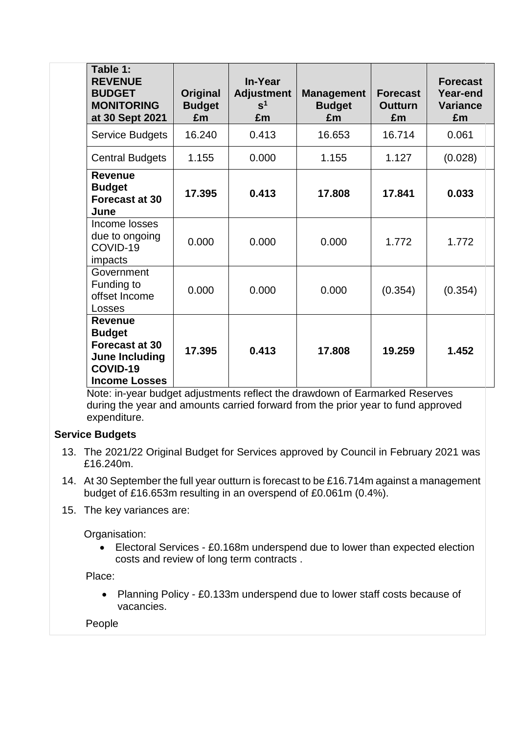| Table 1:<br><b>REVENUE</b><br><b>BUDGET</b><br><b>MONITORING</b><br>at 30 Sept 2021                                   | Original<br><b>Budget</b><br>£m | In-Year<br><b>Adjustment</b><br>s <sup>1</sup><br>£m | <b>Management</b><br><b>Budget</b><br>£m | <b>Forecast</b><br><b>Outturn</b><br>£m | <b>Forecast</b><br>Year-end<br><b>Variance</b><br>£m |
|-----------------------------------------------------------------------------------------------------------------------|---------------------------------|------------------------------------------------------|------------------------------------------|-----------------------------------------|------------------------------------------------------|
| Service Budgets                                                                                                       | 16.240                          | 0.413                                                | 16.653                                   | 16.714                                  | 0.061                                                |
| <b>Central Budgets</b>                                                                                                | 1.155                           | 0.000                                                | 1.155                                    | 1.127                                   | (0.028)                                              |
| <b>Revenue</b><br><b>Budget</b><br>Forecast at 30<br>June                                                             | 17.395                          | 0.413                                                | 17.808                                   | 17.841                                  | 0.033                                                |
| Income losses<br>due to ongoing<br>COVID-19<br>impacts                                                                | 0.000                           | 0.000                                                | 0.000                                    | 1.772                                   | 1.772                                                |
| Government<br>Funding to<br>offset Income<br>Losses                                                                   | 0.000                           | 0.000                                                | 0.000                                    | (0.354)                                 | (0.354)                                              |
| <b>Revenue</b><br><b>Budget</b><br><b>Forecast at 30</b><br><b>June Including</b><br>COVID-19<br><b>Income Losses</b> | 17.395                          | 0.413                                                | 17.808                                   | 19.259                                  | 1.452                                                |

Note: in-year budget adjustments reflect the drawdown of Earmarked Reserves during the year and amounts carried forward from the prior year to fund approved expenditure.

# **Service Budgets**

- 13. The 2021/22 Original Budget for Services approved by Council in February 2021 was £16.240m.
- 14. At 30 September the full year outturn is forecast to be £16.714m against a management budget of £16.653m resulting in an overspend of £0.061m (0.4%).
- 15. The key variances are:

Organisation:

 Electoral Services - £0.168m underspend due to lower than expected election costs and review of long term contracts .

Place:

• Planning Policy - £0.133m underspend due to lower staff costs because of vacancies.

### People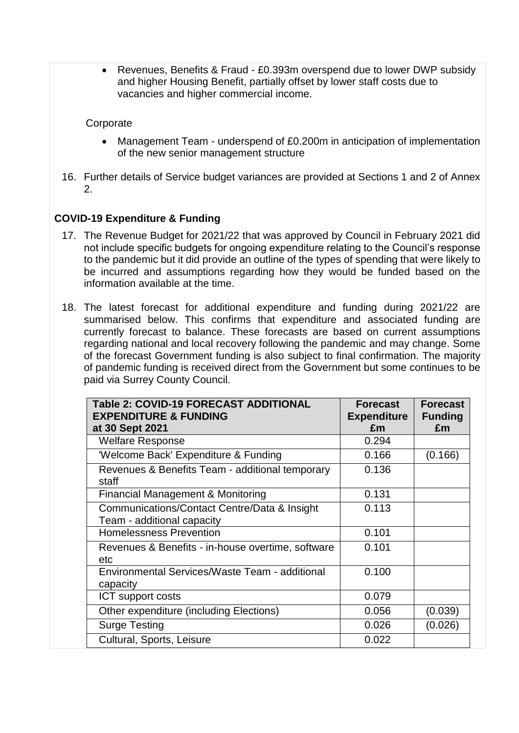Revenues, Benefits & Fraud - £0.393m overspend due to lower DWP subsidy and higher Housing Benefit, partially offset by lower staff costs due to vacancies and higher commercial income.

### **Corporate**

- Management Team underspend of £0.200m in anticipation of implementation of the new senior management structure
- 16. Further details of Service budget variances are provided at Sections 1 and 2 of Annex  $\mathcal{P}$

# **COVID-19 Expenditure & Funding**

- 17. The Revenue Budget for 2021/22 that was approved by Council in February 2021 did not include specific budgets for ongoing expenditure relating to the Council's response to the pandemic but it did provide an outline of the types of spending that were likely to be incurred and assumptions regarding how they would be funded based on the information available at the time.
- 18. The latest forecast for additional expenditure and funding during 2021/22 are summarised below. This confirms that expenditure and associated funding are currently forecast to balance. These forecasts are based on current assumptions regarding national and local recovery following the pandemic and may change. Some of the forecast Government funding is also subject to final confirmation. The majority of pandemic funding is received direct from the Government but some continues to be paid via Surrey County Council.

| Table 2: COVID-19 FORECAST ADDITIONAL<br><b>EXPENDITURE &amp; FUNDING</b><br>at 30 Sept 2021 | <b>Forecast</b><br><b>Expenditure</b><br>£m | <b>Forecast</b><br><b>Funding</b><br>£m |
|----------------------------------------------------------------------------------------------|---------------------------------------------|-----------------------------------------|
| <b>Welfare Response</b>                                                                      | 0.294                                       |                                         |
| 'Welcome Back' Expenditure & Funding                                                         | 0.166                                       | (0.166)                                 |
| Revenues & Benefits Team - additional temporary<br>staff                                     | 0.136                                       |                                         |
| <b>Financial Management &amp; Monitoring</b>                                                 | 0.131                                       |                                         |
| Communications/Contact Centre/Data & Insight<br>Team - additional capacity                   | 0.113                                       |                                         |
| <b>Homelessness Prevention</b>                                                               | 0.101                                       |                                         |
| Revenues & Benefits - in-house overtime, software<br>etc                                     | 0.101                                       |                                         |
| Environmental Services/Waste Team - additional<br>capacity                                   | 0.100                                       |                                         |
| ICT support costs                                                                            | 0.079                                       |                                         |
| Other expenditure (including Elections)                                                      | 0.056                                       | (0.039)                                 |
| <b>Surge Testing</b>                                                                         | 0.026                                       | (0.026)                                 |
| Cultural, Sports, Leisure                                                                    | 0.022                                       |                                         |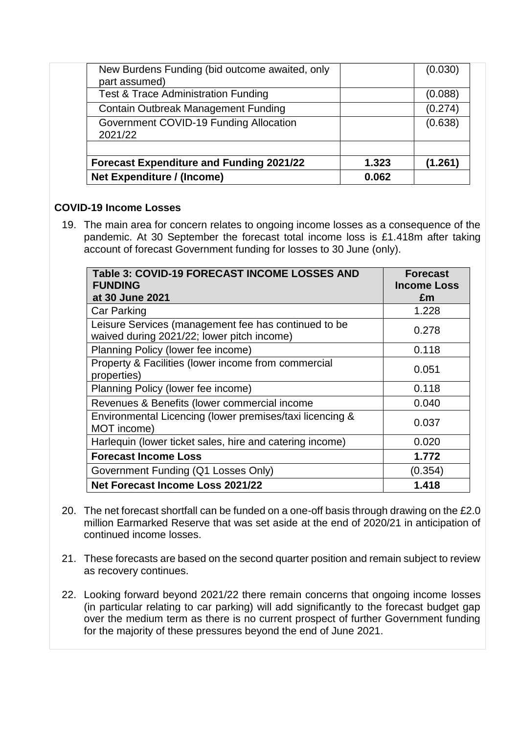| <b>Net Expenditure / (Income)</b>                                             | 0.062 |         |
|-------------------------------------------------------------------------------|-------|---------|
| <b>Forecast Expenditure and Funding 2021/22</b>                               | 1.323 | (1.261) |
| 2021/22                                                                       |       | (0.638) |
| Contain Outbreak Management Funding<br>Government COVID-19 Funding Allocation |       | (0.274) |
| Test & Trace Administration Funding                                           |       | (0.088) |
| part assumed)                                                                 |       |         |
| New Burdens Funding (bid outcome awaited, only                                |       | (0.030) |

# **COVID-19 Income Losses**

19. The main area for concern relates to ongoing income losses as a consequence of the pandemic. At 30 September the forecast total income loss is £1.418m after taking account of forecast Government funding for losses to 30 June (only).

| Table 3: COVID-19 FORECAST INCOME LOSSES AND<br><b>FUNDING</b>                                     | <b>Forecast</b><br><b>Income Loss</b> |
|----------------------------------------------------------------------------------------------------|---------------------------------------|
| at 30 June 2021                                                                                    | £m                                    |
| <b>Car Parking</b>                                                                                 | 1.228                                 |
| Leisure Services (management fee has continued to be<br>waived during 2021/22; lower pitch income) | 0.278                                 |
| Planning Policy (lower fee income)                                                                 | 0.118                                 |
| Property & Facilities (lower income from commercial<br>properties)                                 | 0.051                                 |
| Planning Policy (lower fee income)                                                                 | 0.118                                 |
| Revenues & Benefits (lower commercial income                                                       | 0.040                                 |
| Environmental Licencing (lower premises/taxi licencing &<br>MOT income)                            | 0.037                                 |
| Harlequin (lower ticket sales, hire and catering income)                                           | 0.020                                 |
| <b>Forecast Income Loss</b>                                                                        | 1.772                                 |
| Government Funding (Q1 Losses Only)                                                                | (0.354)                               |
| Net Forecast Income Loss 2021/22                                                                   | 1.418                                 |

- 20. The net forecast shortfall can be funded on a one-off basis through drawing on the £2.0 million Earmarked Reserve that was set aside at the end of 2020/21 in anticipation of continued income losses.
- 21. These forecasts are based on the second quarter position and remain subject to review as recovery continues.
- 22. Looking forward beyond 2021/22 there remain concerns that ongoing income losses (in particular relating to car parking) will add significantly to the forecast budget gap over the medium term as there is no current prospect of further Government funding for the majority of these pressures beyond the end of June 2021.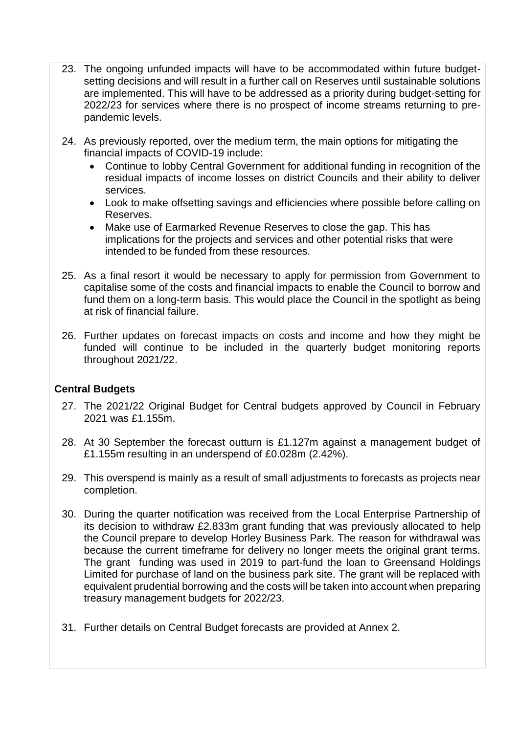- 23. The ongoing unfunded impacts will have to be accommodated within future budgetsetting decisions and will result in a further call on Reserves until sustainable solutions are implemented. This will have to be addressed as a priority during budget-setting for 2022/23 for services where there is no prospect of income streams returning to prepandemic levels.
- 24. As previously reported, over the medium term, the main options for mitigating the financial impacts of COVID-19 include:
	- Continue to lobby Central Government for additional funding in recognition of the residual impacts of income losses on district Councils and their ability to deliver services.
	- Look to make offsetting savings and efficiencies where possible before calling on Reserves.
	- Make use of Earmarked Revenue Reserves to close the gap. This has implications for the projects and services and other potential risks that were intended to be funded from these resources.
- 25. As a final resort it would be necessary to apply for permission from Government to capitalise some of the costs and financial impacts to enable the Council to borrow and fund them on a long-term basis. This would place the Council in the spotlight as being at risk of financial failure.
- 26. Further updates on forecast impacts on costs and income and how they might be funded will continue to be included in the quarterly budget monitoring reports throughout 2021/22.

### **Central Budgets**

- 27. The 2021/22 Original Budget for Central budgets approved by Council in February 2021 was £1.155m.
- 28. At 30 September the forecast outturn is £1.127m against a management budget of £1.155m resulting in an underspend of £0.028m (2.42%).
- 29. This overspend is mainly as a result of small adjustments to forecasts as projects near completion.
- 30. During the quarter notification was received from the Local Enterprise Partnership of its decision to withdraw £2.833m grant funding that was previously allocated to help the Council prepare to develop Horley Business Park. The reason for withdrawal was because the current timeframe for delivery no longer meets the original grant terms. The grant funding was used in 2019 to part-fund the loan to Greensand Holdings Limited for purchase of land on the business park site. The grant will be replaced with equivalent prudential borrowing and the costs will be taken into account when preparing treasury management budgets for 2022/23.
- 31. Further details on Central Budget forecasts are provided at Annex 2.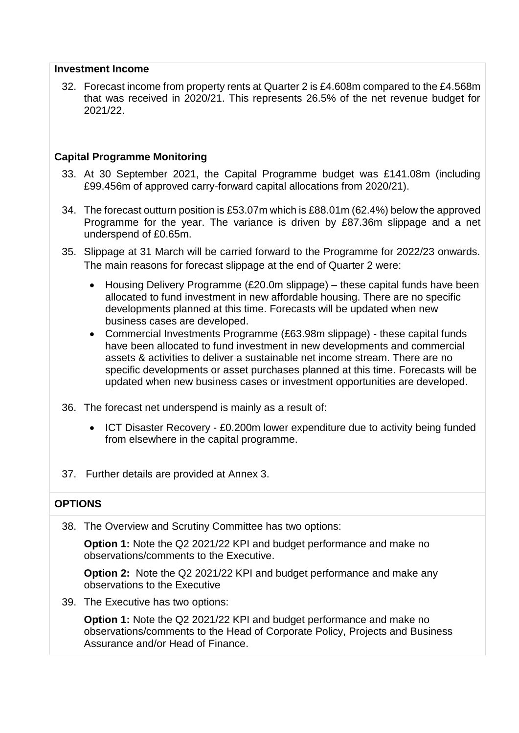#### **Investment Income**

32. Forecast income from property rents at Quarter 2 is £4.608m compared to the £4.568m that was received in 2020/21. This represents 26.5% of the net revenue budget for 2021/22.

### **Capital Programme Monitoring**

- 33. At 30 September 2021, the Capital Programme budget was £141.08m (including £99.456m of approved carry-forward capital allocations from 2020/21).
- 34. The forecast outturn position is £53.07m which is £88.01m (62.4%) below the approved Programme for the year. The variance is driven by £87.36m slippage and a net underspend of £0.65m.
- 35. Slippage at 31 March will be carried forward to the Programme for 2022/23 onwards. The main reasons for forecast slippage at the end of Quarter 2 were:
	- Housing Delivery Programme (£20.0m slippage) these capital funds have been allocated to fund investment in new affordable housing. There are no specific developments planned at this time. Forecasts will be updated when new business cases are developed.
	- Commercial Investments Programme (£63.98m slippage) these capital funds have been allocated to fund investment in new developments and commercial assets & activities to deliver a sustainable net income stream. There are no specific developments or asset purchases planned at this time. Forecasts will be updated when new business cases or investment opportunities are developed.
- 36. The forecast net underspend is mainly as a result of:
	- ICT Disaster Recovery £0.200m lower expenditure due to activity being funded from elsewhere in the capital programme.
- 37. Further details are provided at Annex 3.

# **OPTIONS**

38. The Overview and Scrutiny Committee has two options:

**Option 1:** Note the Q2 2021/22 KPI and budget performance and make no observations/comments to the Executive.

**Option 2:** Note the Q2 2021/22 KPI and budget performance and make any observations to the Executive

39. The Executive has two options:

**Option 1:** Note the Q2 2021/22 KPI and budget performance and make no observations/comments to the Head of Corporate Policy, Projects and Business Assurance and/or Head of Finance.